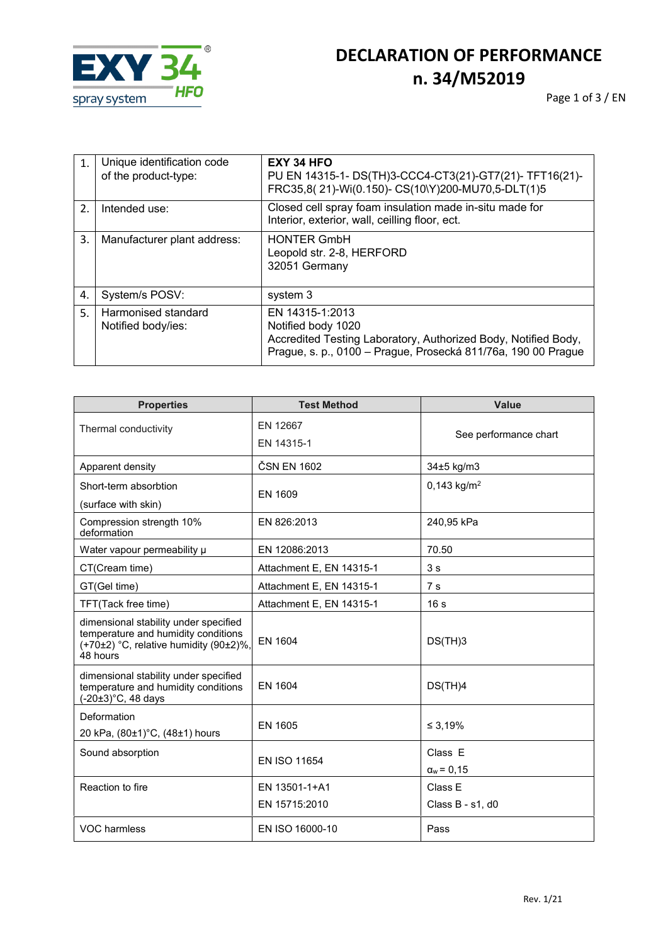

## **DECLARATION OF PERFORMANCE n. 34/M52019**

Page 1 of 3 / EN

| 1.               | Unique identification code<br>of the product-type: | EXY 34 HFO<br>PU EN 14315-1- DS(TH)3-CCC4-CT3(21)-GT7(21)-TFT16(21)-<br>FRC35,8(21)-Wi(0.150)- CS(10\Y)200-MU70,5-DLT(1)5                                                |
|------------------|----------------------------------------------------|--------------------------------------------------------------------------------------------------------------------------------------------------------------------------|
| $\overline{2}$ . | Intended use:                                      | Closed cell spray foam insulation made in-situ made for<br>Interior, exterior, wall, ceilling floor, ect.                                                                |
| 3.               | Manufacturer plant address:                        | <b>HONTER GmbH</b><br>Leopold str. 2-8, HERFORD<br>32051 Germany                                                                                                         |
| 4.               | System/s POSV:                                     | system 3                                                                                                                                                                 |
| 5.               | Harmonised standard<br>Notified body/ies:          | EN 14315-1:2013<br>Notified body 1020<br>Accredited Testing Laboratory, Authorized Body, Notified Body,<br>Prague, s. p., 0100 - Prague, Prosecká 811/76a, 190 00 Prague |

| <b>Properties</b>                                                                                                                  | <b>Test Method</b>             | <b>Value</b>                 |
|------------------------------------------------------------------------------------------------------------------------------------|--------------------------------|------------------------------|
| Thermal conductivity                                                                                                               | EN 12667<br>EN 14315-1         | See performance chart        |
| Apparent density                                                                                                                   | ČSN EN 1602                    | 34±5 kg/m3                   |
| Short-term absorbtion<br>(surface with skin)                                                                                       | EN 1609                        | 0,143 kg/m <sup>2</sup>      |
| Compression strength 10%<br>deformation                                                                                            | EN 826:2013                    | 240,95 kPa                   |
| Water vapour permeability µ                                                                                                        | EN 12086:2013                  | 70.50                        |
| CT(Cream time)                                                                                                                     | Attachment E, EN 14315-1       | 3s                           |
| GT(Gel time)                                                                                                                       | Attachment E, EN 14315-1       | 7 <sub>s</sub>               |
| TFT(Tack free time)                                                                                                                | Attachment E, EN 14315-1       | 16 <sub>s</sub>              |
| dimensional stability under specified<br>temperature and humidity conditions<br>(+70±2) °C, relative humidity (90±2)%,<br>48 hours | EN 1604                        | DS(TH)3                      |
| dimensional stability under specified<br>temperature and humidity conditions<br>(-20±3)°C, 48 days                                 | <b>EN 1604</b>                 | DS(TH)4                      |
| Deformation<br>20 kPa, (80±1)°C, (48±1) hours                                                                                      | EN 1605                        | ≤ 3.19%                      |
| Sound absorption                                                                                                                   | EN ISO 11654                   | Class E<br>$\alpha_w = 0,15$ |
| Reaction to fire                                                                                                                   | EN 13501-1+A1<br>EN 15715:2010 | Class E<br>Class B - s1, d0  |
| VOC harmless                                                                                                                       | EN ISO 16000-10                | Pass                         |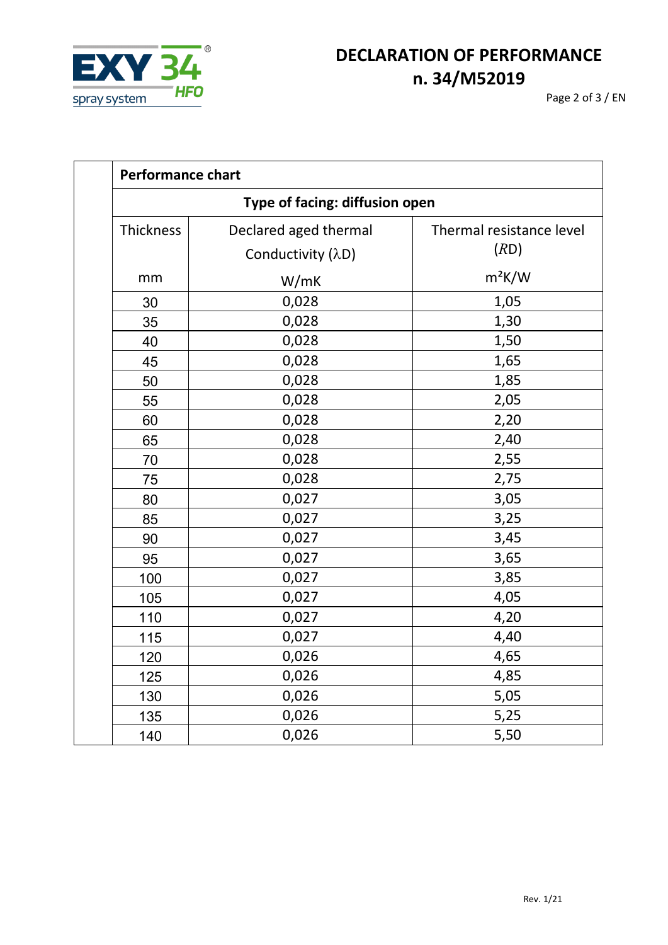

Page 2 of 3 / EN

| <b>Performance chart</b>       |                                            |                                  |  |
|--------------------------------|--------------------------------------------|----------------------------------|--|
| Type of facing: diffusion open |                                            |                                  |  |
| Thickness                      | Declared aged thermal<br>Conductivity (λD) | Thermal resistance level<br>(RD) |  |
| mm                             | W/mK                                       | $m^2K/W$                         |  |
| 30                             | 0,028                                      | 1,05                             |  |
| 35                             | 0,028                                      | 1,30                             |  |
| 40                             | 0,028                                      | 1,50                             |  |
| 45                             | 0,028                                      | 1,65                             |  |
| 50                             | 0,028                                      | 1,85                             |  |
| 55                             | 0,028                                      | 2,05                             |  |
| 60                             | 0,028                                      | 2,20                             |  |
| 65                             | 0,028                                      | 2,40                             |  |
| 70                             | 0,028                                      | 2,55                             |  |
| 75                             | 0,028                                      | 2,75                             |  |
| 80                             | 0,027                                      | 3,05                             |  |
| 85                             | 0,027                                      | 3,25                             |  |
| 90                             | 0,027                                      | 3,45                             |  |
| 95                             | 0,027                                      | 3,65                             |  |
| 100                            | 0,027                                      | 3,85                             |  |
| 105                            | 0,027                                      | 4,05                             |  |
| 110                            | 0,027                                      | 4,20                             |  |
| 115                            | 0,027                                      | 4,40                             |  |
| 120                            | 0,026                                      | 4,65                             |  |
| 125                            | 0,026                                      | 4,85                             |  |
| 130                            | 0,026                                      | 5,05                             |  |
| 135                            | 0,026                                      | 5,25                             |  |
| 140                            | 0,026                                      | 5,50                             |  |